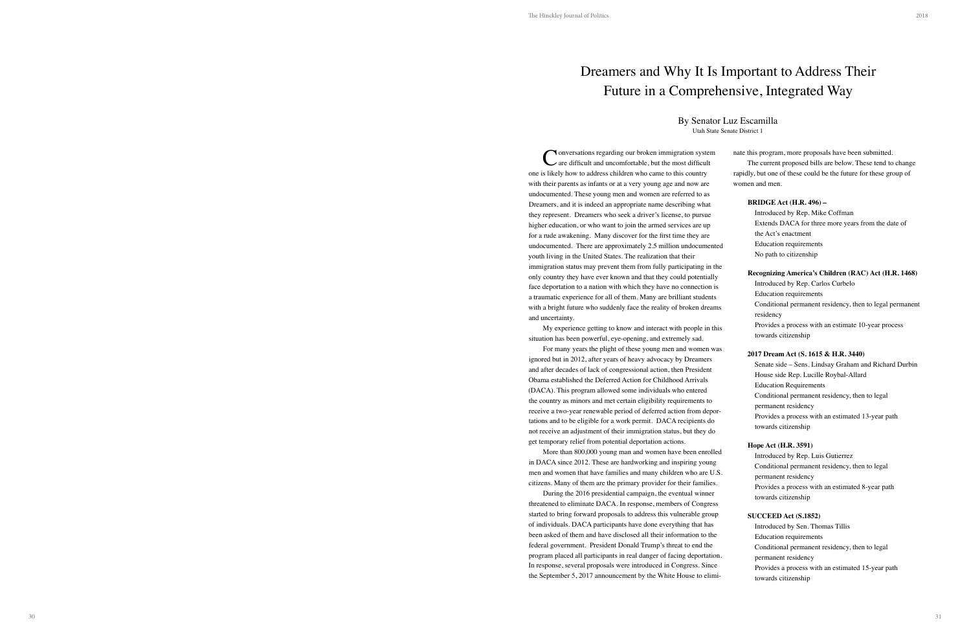**Nonversations regarding our broken immigration system** are difficult and uncomfortable, but the most difficult one is likely how to address children who came to this country with their parents as infants or at a very young age and now are undocumented. These young men and women are referred to as Dreamers, and it is indeed an appropriate name describing what they represent. Dreamers who seek a driver's license, to pursue higher education, or who want to join the armed services are up for a rude awakening. Many discover for the first time they are undocumented. There are approximately 2.5 million undocumented. youth living in the United States. The realization that their immigration status may prevent them from fully participating in only country they have ever known and that they could potential face deportation to a nation with which they have no connection a traumatic experience for all of them. Many are brilliant student with a bright future who suddenly face the reality of broken drea and uncertainty.

My experience getting to know and interact with people in situation has been powerful, eye-opening, and extremely sad.

For many years the plight of these young men and women ignored but in 2012, after years of heavy advocacy by Dreamers and after decades of lack of congressional action, then President Obama established the Deferred Action for Childhood Arrivals (DACA). This program allowed some individuals who entered the country as minors and met certain eligibility requirements to receive a two-year renewable period of deferred action from dep tations and to be eligible for a work permit. DACA recipients do not receive an adjustment of their immigration status, but they do get temporary relief from potential deportation actions.

More than 800,000 young man and women have been enrol in DACA since 2012. These are hardworking and inspiring youn men and women that have families and many children who are U.S. citizens. Many of them are the primary provider for their familie

During the 2016 presidential campaign, the eventual winner threatened to eliminate DACA. In response, members of Congre started to bring forward proposals to address this vulnerable group of individuals. DACA participants have done everything that has been asked of them and have disclosed all their information to th federal government. President Donald Trump's threat to end the program placed all participants in real danger of facing deportation. In response, several proposals were introduced in Congress. Since the September 5, 2017 announcement by the White House to elimit

| n                    | nate this program, more proposals have been submitted.           |
|----------------------|------------------------------------------------------------------|
|                      | The current proposed bills are below. These tend to change       |
|                      | rapidly, but one of these could be the future for these group of |
|                      | women and men.                                                   |
|                      |                                                                  |
|                      | <b>BRIDGE Act (H.R. 496) –</b>                                   |
|                      | Introduced by Rep. Mike Coffman                                  |
|                      | Extends DACA for three more years from the date of               |
|                      | the Act's enactment                                              |
| nted                 | <b>Education requirements</b>                                    |
|                      | No path to citizenship                                           |
| the                  | Recognizing America's Children (RAC) Act (H.R. 1468)             |
| lly                  | Introduced by Rep. Carlos Curbelo                                |
| is.                  | <b>Education requirements</b>                                    |
| ts                   | Conditional permanent residency, then to legal permanent         |
| ams                  | residency                                                        |
|                      | Provides a process with an estimate 10-year process              |
| this                 | towards citizenship                                              |
| was                  |                                                                  |
|                      | 2017 Dream Act (S. 1615 & H.R. 3440)                             |
|                      | Senate side - Sens. Lindsay Graham and Richard Durbin            |
|                      | House side Rep. Lucille Roybal-Allard                            |
|                      | <b>Education Requirements</b>                                    |
|                      | Conditional permanent residency, then to legal                   |
| -100                 | permanent residency                                              |
| 0                    | Provides a process with an estimated 13-year path                |
| O                    | towards citizenship                                              |
|                      | Hope Act (H.R. 3591)                                             |
| lled                 | Introduced by Rep. Luis Gutierrez                                |
| ıg                   | Conditional permanent residency, then to legal                   |
| J.S.                 | permanent residency                                              |
| S.                   | Provides a process with an estimated 8-year path                 |
| T                    | towards citizenship                                              |
| ess:                 |                                                                  |
| up                   | <b>SUCCEED Act (S.1852)</b>                                      |
| S                    | Introduced by Sen. Thomas Tillis                                 |
| ne                   | <b>Education requirements</b>                                    |
| $\ddot{\phantom{0}}$ | Conditional permanent residency, then to legal                   |
| ion.                 | permanent residency                                              |
| ce                   | Provides a process with an estimated 15-year path                |
| mi-                  | towards citizenship                                              |

## Dreamers and Why It Is Important to Address Their Future in a Comprehensive, Integrated Way

## By Senator Luz Escamilla

Utah State Senate District 1